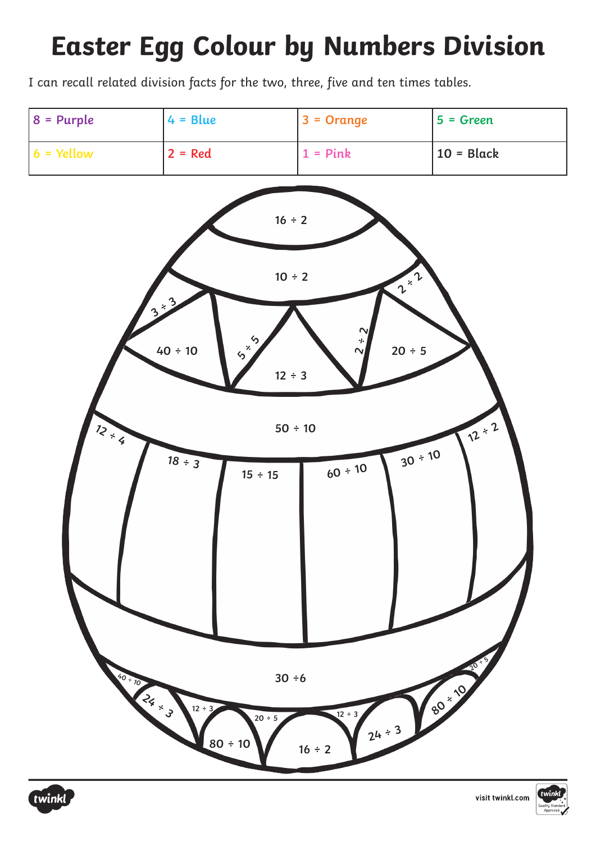I can recall related division facts for the two, three, five and ten times tables.





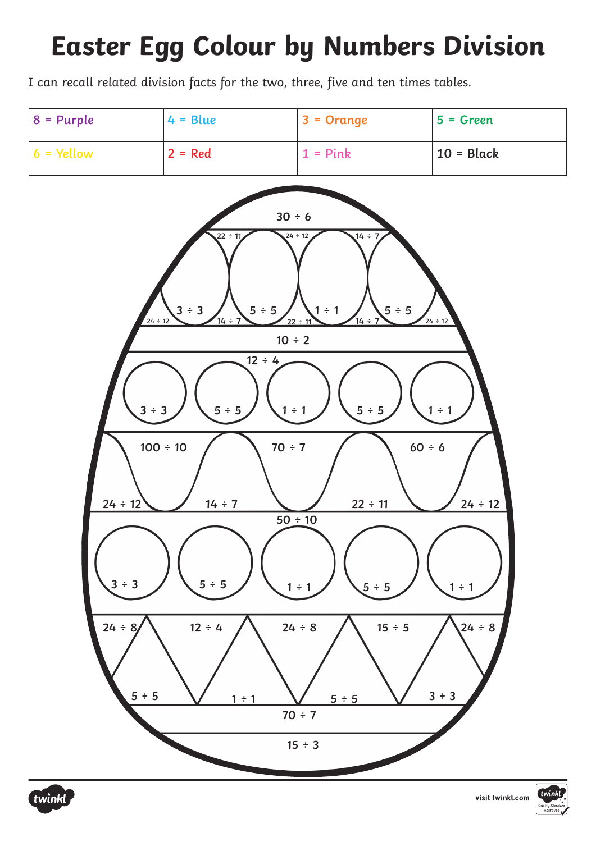I can recall related division facts for the two, three, five and ten times tables.





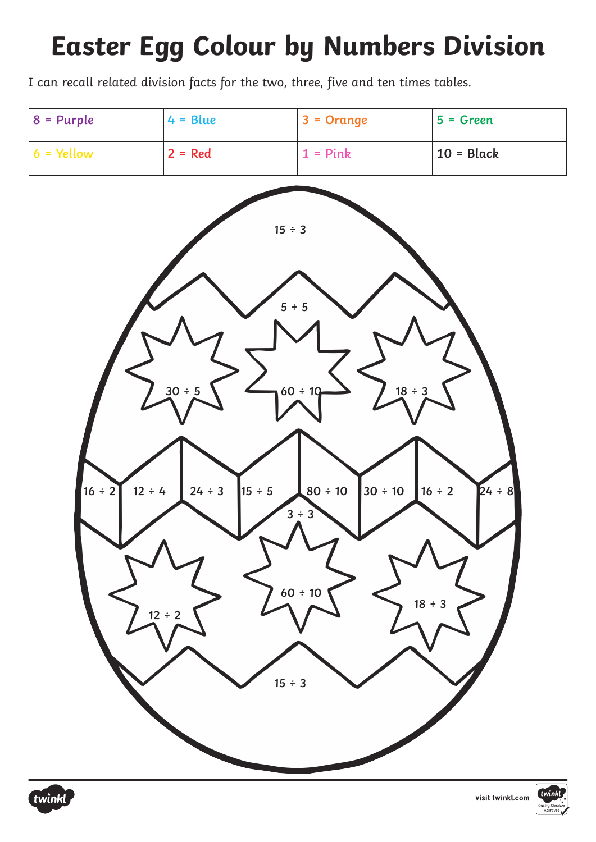I can recall related division facts for the two, three, five and ten times tables.





visit twinkl.com